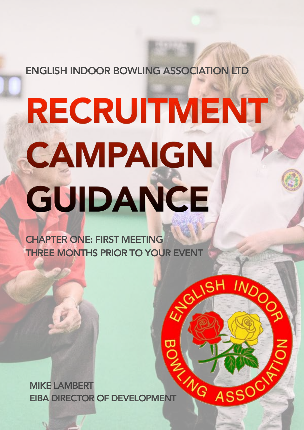ENGLISH INDOOR BOWLING ASSOCIATION LTD

# RECRUITMENT CAMPAIGN GUIDANCE

EX SH

INDO

ASSOC

CHAPTER ONE: FIRST MEETING THREE MONTHS PRIOR TO YOUR EVENT

MIKE LAMBERT MIKE LAMBERT<br>EIBA DIRECTOR OF DEVELOPMENT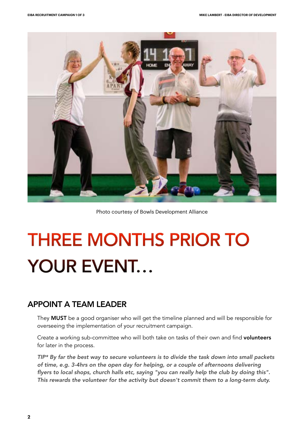

#### Photo courtesy of Bowls Development Alliance

# THREE MONTHS PRIOR TO YOUR EVENT…

# APPOINT A TEAM LEADER

They MUST be a good organiser who will get the timeline planned and will be responsible for overseeing the implementation of your recruitment campaign.

Create a working sub-committee who will both take on tasks of their own and find volunteers for later in the process.

*TIP\* By far the best way to secure volunteers is to divide the task down into small packets of time, e.g. 3-4hrs on the open day for helping, or a couple of afternoons delivering flyers to local shops, church halls etc, saying "you can really help the club by doing this". This rewards the volunteer for the activity but doesn't commit them to a long-term duty.*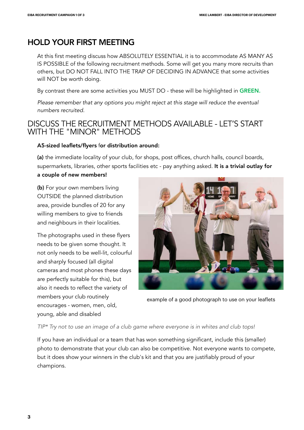# HOLD YOUR FIRST MEETING

At this first meeting discuss how ABSOLUTELY ESSENTIAL it is to accommodate AS MANY AS IS POSSIBLE of the following recruitment methods. Some will get you many more recruits than others, but DO NOT FALL INTO THE TRAP OF DECIDING IN ADVANCE that some activities will NOT be worth doing.

By contrast there are some activities you MUST DO - these will be highlighted in GREEN.

*Please remember that any options you might reject at this stage will reduce the eventual numbers recruited.*

# DISCUSS THE RECRUITMENT METHODS AVAILABLE - LET'S START WITH THE "MINOR" METHODS

### A5-sized leaflets/flyers for distribution around:

(a) the immediate locality of your club, for shops, post offices, church halls, council boards, supermarkets, libraries, other sports facilities etc - pay anything asked. It is a trivial outlay for

## a couple of new members!

(b) For your own members living OUTSIDE the planned distribution area, provide bundles of 20 for any willing members to give to friends and neighbours in their localities.

The photographs used in these flyers needs to be given some thought. It not only needs to be well-lit, colourful and sharply focused (all digital cameras and most phones these days are perfectly suitable for this), but also it needs to reflect the variety of members your club routinely encourages - women, men, old, young, able and disabled



example of a good photograph to use on your leaflets

*TIP\* Try not to use an image of a club game where everyone is in whites and club tops!*

If you have an individual or a team that has won something significant, include this (smaller) photo to demonstrate that your club can also be competitive. Not everyone wants to compete, but it does show your winners in the club's kit and that you are justifiably proud of your champions.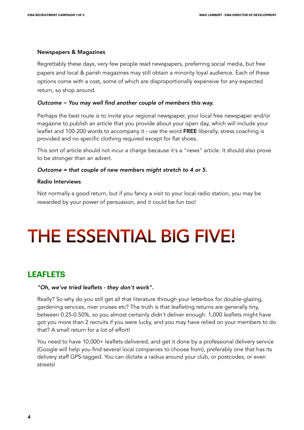#### Newspapers & Magazines

Regrettably these days, very few people read newspapers, preferring social media, but free papers and local & parish magazines may still obtain a minority loyal audience. Each of these options come with a cost, some of which are disproportionally expensive for any expected return, so shop around.

#### *Outcome = You may well find another couple of members this way.*

Perhaps the best route is to invite your regional newspaper, your local free newspaper and/or magazine to publish an article that you provide about your open day, which will include your leaflet and 100-200 words to accompany it - use the word FREE liberally, stress coaching is provided and no specific clothing required except for flat shoes.

This sort of article should not incur a charge because it's a "news" article. It should also prove to be stronger than an advert.

#### *Outcome = that couple of new members might stretch to 4 or 5.*

#### Radio Interviews

Not normally a good return, but if you fancy a visit to your local radio station, you may be rewarded by your power of persuasion, and it could be fun too!

# THE ESSENTIAL BIG FIVE!

# **LEAFLETS**

#### *"Oh, we've tried leaflets - they don't work".*

Really? So why do you still get all that literature through your letterbox for double-glazing, gardening services, river cruises etc? The truth is that leafleting returns are generally tiny, between 0.25-0.50%, so you almost certainly didn't deliver enough. 1,000 leaflets might have got you more than 2 recruits if you were lucky, and you may have relied on your members to do that? A small return for a lot of effort!

You need to have 10,000+ leaflets delivered, and get it done by a professional delivery service (Google will help you find several local companies to choose from), preferably one that has its delivery staff GPS-tagged. You can dictate a radius around your club, or postcodes, or even streets!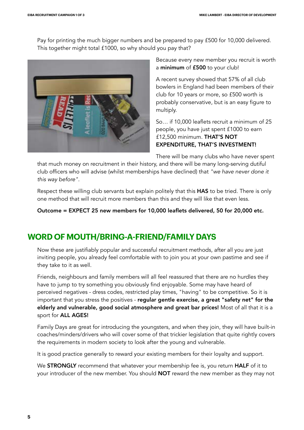Pay for printing the much bigger numbers and be prepared to pay £500 for 10,000 delivered. This together might total £1000, so why should you pay that?



Because every new member you recruit is worth a minimum of £500 to your club!

A recent survey showed that 57% of all club bowlers in England had been members of their club for 10 years or more, so £500 worth is probably conservative, but is an easy figure to multiply.

So… if 10,000 leaflets recruit a minimum of 25 people, you have just spent £1000 to earn £12,500 minimum. THAT'S NOT EXPENDITURE, THAT'S INVESTMENT!

There will be many clubs who have never spent

that much money on recruitment in their history, and there will be many long-serving dutiful club officers who will advise (whilst memberships have declined) that *"we have never done it this way before".* 

Respect these willing club servants but explain politely that this HAS to be tried. There is only one method that will recruit more members than this and they will like that even less.

Outcome = EXPECT 25 new members for 10,000 leaflets delivered, 50 for 20,000 etc.

# **WORD OF MOUTH/BRING-A-FRIEND/FAMILY DAYS**

Now these are justifiably popular and successful recruitment methods, after all you are just inviting people, you already feel comfortable with to join you at your own pastime and see if they take to it as well.

Friends, neighbours and family members will all feel reassured that there are no hurdles they have to jump to try something you obviously find enjoyable. Some may have heard of perceived negatives - dress codes, restricted play times, "having" to be competitive. So it is important that you stress the positives - regular gentle exercise, a great "safety net" for the elderly and vulnerable, good social atmosphere and great bar prices! Most of all that it is a sport for ALL AGES!

Family Days are great for introducing the youngsters, and when they join, they will have built-in coaches/minders/drivers who will cover some of that trickier legislation that quite rightly covers the requirements in modern society to look after the young and vulnerable.

It is good practice generally to reward your existing members for their loyalty and support.

We **STRONGLY** recommend that whatever your membership fee is, you return **HALF** of it to your introducer of the new member. You should NOT reward the new member as they may not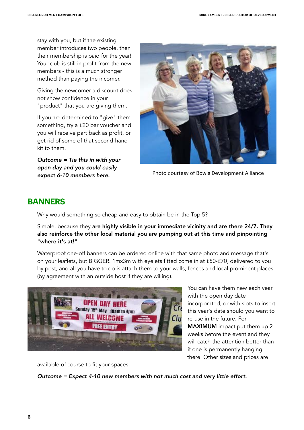stay with you, but if the existing member introduces two people, then their membership is paid for the year! Your club is still in profit from the new members - this is a much stronger method than paying the incomer.

Giving the newcomer a discount does not show confidence in your "product" that you are giving them.

If you are determined to "give" them something, try a £20 bar voucher and you will receive part back as profit, or get rid of some of that second-hand kit to them.

*Outcome = Tie this in with your open day and you could easily expect 6-10 members here.*



Photo courtesy of Bowls Development Alliance

# **BANNERS**

Why would something so cheap and easy to obtain be in the Top 5?

Simple, because they are highly visible in your immediate vicinity and are there 24/7. They also reinforce the other local material you are pumping out at this time and pinpointing "where it's at!"

Waterproof one-off banners can be ordered online with that same photo and message that's on your leaflets, but BIGGER. 1mx3m with eyelets fitted come in at £50-£70, delivered to you by post, and all you have to do is attach them to your walls, fences and local prominent places (by agreement with an outside host if they are willing).



You can have them new each year with the open day date incorporated, or with slots to insert this year's date should you want to re-use in the future. For MAXIMUM impact put them up 2 weeks before the event and they will catch the attention better than if one is permanently hanging there. Other sizes and prices are

available of course to fit your spaces.

*Outcome = Expect 4-10 new members with not much cost and very little effort.*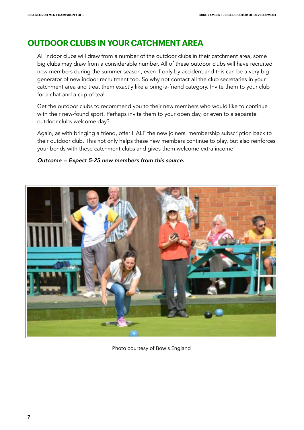# **OUTDOOR CLUBS IN YOUR CATCHMENT AREA**

All indoor clubs will draw from a number of the outdoor clubs in their catchment area, some big clubs may draw from a considerable number. All of these outdoor clubs will have recruited new members during the summer season, even if only by accident and this can be a very big generator of new indoor recruitment too. So why not contact all the club secretaries in your catchment area and treat them exactly like a bring-a-friend category. Invite them to your club for a chat and a cup of tea!

Get the outdoor clubs to recommend you to their new members who would like to continue with their new-found sport. Perhaps invite them to your open day, or even to a separate outdoor clubs welcome day?

Again, as with bringing a friend, offer HALF the new joiners' membership subscription back to their outdoor club. This not only helps these new members continue to play, but also reinforces your bonds with these catchment clubs and gives them welcome extra income.

### *Outcome = Expect 5-25 new members from this source.*



Photo courtesy of Bowls England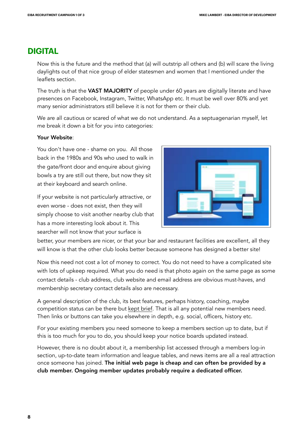# **DIGITAL**

Now this is the future and the method that (a) will outstrip all others and (b) will scare the living daylights out of that nice group of elder statesmen and women that I mentioned under the leaflets section.

The truth is that the VAST MAJORITY of people under 60 years are digitally literate and have presences on Facebook, Instagram, Twitter, WhatsApp etc. It must be well over 80% and yet many senior administrators still believe it is not for them or their club.

We are all cautious or scared of what we do not understand. As a septuagenarian myself, let me break it down a bit for you into categories:

### Your Website:

You don't have one - shame on you. All those back in the 1980s and 90s who used to walk in the gate/front door and enquire about giving bowls a try are still out there, but now they sit at their keyboard and search online.

If your website is not particularly attractive, or even worse - does not exist, then they will simply choose to visit another nearby club that has a more interesting look about it. This searcher will not know that your surface is



better, your members are nicer, or that your bar and restaurant facilities are excellent, all they will know is that the other club looks better because someone has designed a better site!

Now this need not cost a lot of money to correct. You do not need to have a complicated site with lots of upkeep required. What you do need is that photo again on the same page as some contact details - club address, club website and email address are obvious must-haves, and membership secretary contact details also are necessary.

A general description of the club, its best features, perhaps history, coaching, maybe competition status can be there but kept brief. That is all any potential new members need. Then links or buttons can take you elsewhere in depth, e.g. social, officers, history etc.

For your existing members you need someone to keep a members section up to date, but if this is too much for you to do, you should keep your notice boards updated instead.

However, there is no doubt about it, a membership list accessed through a members log-in section, up-to-date team information and league tables, and news items are all a real attraction once someone has joined. The initial web page is cheap and can often be provided by a club member. Ongoing member updates probably require a dedicated officer.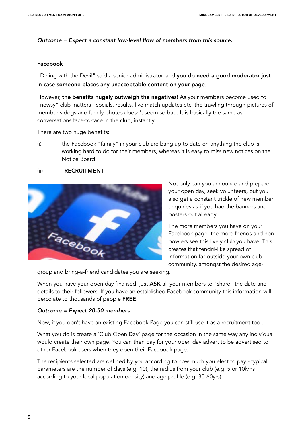### *Outcome = Expect a constant low-level flow of members from this source.*

### Facebook

"Dining with the Devil" said a senior administrator, and you do need a good moderator just in case someone places any unacceptable content on your page.

However, the benefits hugely outweigh the negatives! As your members become used to "newsy" club matters - socials, results, live match updates etc, the trawling through pictures of member's dogs and family photos doesn't seem so bad. It is basically the same as conversations face-to-face in the club, instantly.

There are two huge benefits:

(i) the Facebook "family" in your club are bang up to date on anything the club is working hard to do for their members, whereas it is easy to miss new notices on the Notice Board.

### (ii) RECRUITMENT



Not only can you announce and prepare your open day, seek volunteers, but you also get a constant trickle of new member enquiries as if you had the banners and posters out already.

The more members you have on your Facebook page, the more friends and nonbowlers see this lively club you have. This creates that tendril-like spread of information far outside your own club community, amongst the desired age-

group and bring-a-friend candidates you are seeking.

When you have your open day finalised, just ASK all your members to "share" the date and details to their followers. If you have an established Facebook community this information will percolate to thousands of people FREE.

### *Outcome = Expect 20-50 members*

Now, if you don't have an existing Facebook Page you can still use it as a recruitment tool.

What you do is create a 'Club Open Day' page for the occasion in the same way any individual would create their own page. You can then pay for your open day advert to be advertised to other Facebook users when they open their Facebook page.

The recipients selected are defined by you according to how much you elect to pay - typical parameters are the number of days (e.g. 10), the radius from your club (e.g. 5 or 10kms according to your local population density) and age profile (e.g. 30-60yrs).